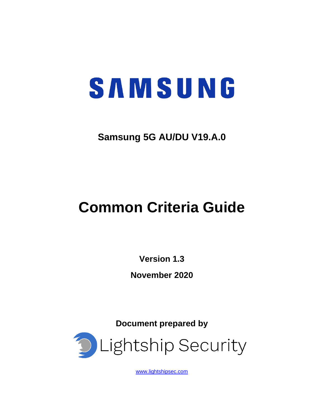# SAMSUNG

## **Samsung 5G AU/DU V19.A.0**

## **Common Criteria Guide**

**Version 1.3 November 2020**

**Document prepared by**



[www.lightshipsec.com](https://www.lightshipsec.com/)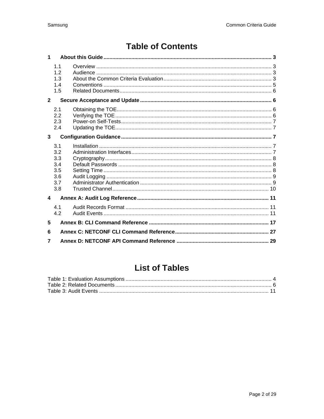## **Table of Contents**

| $\blacktriangleleft$ |                                                      |  |  |
|----------------------|------------------------------------------------------|--|--|
|                      | 1.1<br>1.2<br>1.3<br>1.4<br>1.5                      |  |  |
| $\overline{2}$       |                                                      |  |  |
|                      | 2.1<br>2.2<br>2.3<br>2.4                             |  |  |
| 3                    |                                                      |  |  |
|                      | 3.1<br>3.2<br>3.3<br>3.4<br>3.5<br>3.6<br>3.7<br>3.8 |  |  |
| 4                    |                                                      |  |  |
|                      | 4.1<br>4.2                                           |  |  |
| 5                    |                                                      |  |  |
| 6                    |                                                      |  |  |
| 7                    |                                                      |  |  |

## **List of Tables**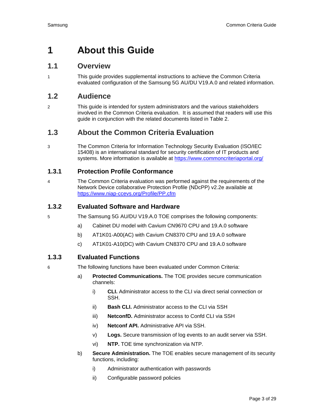## <span id="page-2-0"></span>**1 About this Guide**

#### <span id="page-2-1"></span>**1.1 Overview**

1 This guide provides supplemental instructions to achieve the Common Criteria evaluated configuration of the Samsung 5G AU/DU V19.A.0 and related information.

#### <span id="page-2-2"></span>**1.2 Audience**

2 This guide is intended for system administrators and the various stakeholders involved in the Common Criteria evaluation. It is assumed that readers will use this guide in conjunction with the related documents listed in [Table 2.](#page-5-4)

#### <span id="page-2-3"></span>**1.3 About the Common Criteria Evaluation**

3 The Common Criteria for Information Technology Security Evaluation (ISO/IEC 15408) is an international standard for security certification of IT products and systems. More information is available at https://www.commoncriteriaportal.org/

#### **1.3.1 Protection Profile Conformance**

4 The Common Criteria evaluation was performed against the requirements of the Network Device collaborative Protection Profile (NDcPP) v2.2e available at <https://www.niap-ccevs.org/Profile/PP.cfm>

#### **1.3.2 Evaluated Software and Hardware**

- 5 The Samsung 5G AU/DU V19.A.0 TOE comprises the following components:
	- a) Cabinet DU model with Cavium CN9670 CPU and 19.A.0 software
	- b) AT1K01-A00(AC) with Cavium CN8370 CPU and 19.A.0 software
	- c) AT1K01-A10(DC) with Cavium CN8370 CPU and 19.A.0 software

#### **1.3.3 Evaluated Functions**

- 6 The following functions have been evaluated under Common Criteria:
	- a) **Protected Communications.** The TOE provides secure communication channels:
		- i) **CLI.** Administrator access to the CLI via direct serial connection or SSH.
		- ii) **Bash CLI.** Administrator access to the CLI via SSH
		- iii) **NetconfD.** Administrator access to Confd CLI via SSH
		- iv) **Netconf API.** Administrative API via SSH.
		- v) **Logs.** Secure transmission of log events to an audit server via SSH.
		- vi) **NTP.** TOE time synchronization via NTP.
	- b) **Secure Administration.** The TOE enables secure management of its security functions, including:
		- i) Administrator authentication with passwords
		- ii) Configurable password policies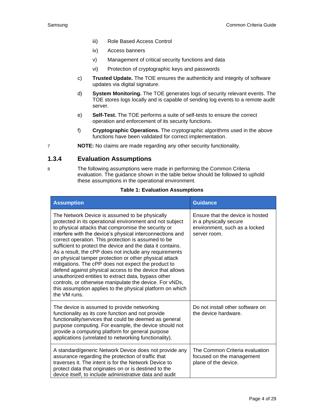- iii) Role Based Access Control
- iv) Access banners
- v) Management of critical security functions and data
- vi) Protection of cryptographic keys and passwords
- c) **Trusted Update.** The TOE ensures the authenticity and integrity of software updates via digital signature.
- d) **System Monitoring.** The TOE generates logs of security relevant events. The TOE stores logs locally and is capable of sending log events to a remote audit server.
- e) **Self-Test.** The TOE performs a suite of self-tests to ensure the correct operation and enforcement of its security functions.
- f) **Cryptographic Operations.** The cryptographic algorithms used in the above functions have been validated for correct implementation.

7 **NOTE:** No claims are made regarding any other security functionality.

#### **1.3.4 Evaluation Assumptions**

8 The following assumptions were made in performing the Common Criteria evaluation. The guidance shown in the table below should be followed to uphold these assumptions in the operational environment.

#### **Table 1: Evaluation Assumptions**

<span id="page-3-0"></span>

| <b>Assumption</b>                                                                                                                                                                                                                                                                                                                                                                                                                                                                                                                                                                                                                                                                                                                                                                         | <b>Guidance</b>                                                                                             |
|-------------------------------------------------------------------------------------------------------------------------------------------------------------------------------------------------------------------------------------------------------------------------------------------------------------------------------------------------------------------------------------------------------------------------------------------------------------------------------------------------------------------------------------------------------------------------------------------------------------------------------------------------------------------------------------------------------------------------------------------------------------------------------------------|-------------------------------------------------------------------------------------------------------------|
| The Network Device is assumed to be physically<br>protected in its operational environment and not subject<br>to physical attacks that compromise the security or<br>interfere with the device's physical interconnections and<br>correct operation. This protection is assumed to be<br>sufficient to protect the device and the data it contains.<br>As a result, the cPP does not include any requirements<br>on physical tamper protection or other physical attack<br>mitigations. The cPP does not expect the product to<br>defend against physical access to the device that allows<br>unauthorized entities to extract data, bypass other<br>controls, or otherwise manipulate the device. For vNDs,<br>this assumption applies to the physical platform on which<br>the VM runs. | Ensure that the device is hosted<br>in a physically secure<br>environment, such as a locked<br>server room. |
| The device is assumed to provide networking<br>functionality as its core function and not provide<br>functionality/services that could be deemed as general<br>purpose computing. For example, the device should not<br>provide a computing platform for general purpose<br>applications (unrelated to networking functionality).                                                                                                                                                                                                                                                                                                                                                                                                                                                         | Do not install other software on<br>the device hardware.                                                    |
| A standard/generic Network Device does not provide any<br>assurance regarding the protection of traffic that<br>traverses it. The intent is for the Network Device to<br>protect data that originates on or is destined to the<br>device itself, to include administrative data and audit                                                                                                                                                                                                                                                                                                                                                                                                                                                                                                 | The Common Criteria evaluation<br>focused on the management<br>plane of the device.                         |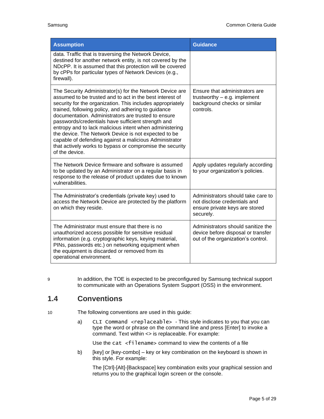| <b>Assumption</b>                                                                                                                                                                                                                                                                                                                                                                                                                                                                                                                                                                                                 | <b>Guidance</b>                                                                                                   |
|-------------------------------------------------------------------------------------------------------------------------------------------------------------------------------------------------------------------------------------------------------------------------------------------------------------------------------------------------------------------------------------------------------------------------------------------------------------------------------------------------------------------------------------------------------------------------------------------------------------------|-------------------------------------------------------------------------------------------------------------------|
| data. Traffic that is traversing the Network Device,<br>destined for another network entity, is not covered by the<br>NDcPP. It is assumed that this protection will be covered<br>by cPPs for particular types of Network Devices (e.g.,<br>firewall).                                                                                                                                                                                                                                                                                                                                                           |                                                                                                                   |
| The Security Administrator(s) for the Network Device are<br>assumed to be trusted and to act in the best interest of<br>security for the organization. This includes appropriately<br>trained, following policy, and adhering to guidance<br>documentation. Administrators are trusted to ensure<br>passwords/credentials have sufficient strength and<br>entropy and to lack malicious intent when administering<br>the device. The Network Device is not expected to be<br>capable of defending against a malicious Administrator<br>that actively works to bypass or compromise the security<br>of the device. | Ensure that administrators are<br>trustworthy $-$ e.g. implement<br>background checks or similar<br>controls.     |
| The Network Device firmware and software is assumed<br>to be updated by an Administrator on a regular basis in<br>response to the release of product updates due to known<br>vulnerabilities.                                                                                                                                                                                                                                                                                                                                                                                                                     | Apply updates regularly according<br>to your organization's policies.                                             |
| The Administrator's credentials (private key) used to<br>access the Network Device are protected by the platform<br>on which they reside.                                                                                                                                                                                                                                                                                                                                                                                                                                                                         | Administrators should take care to<br>not disclose credentials and<br>ensure private keys are stored<br>securely. |
| The Administrator must ensure that there is no<br>unauthorized access possible for sensitive residual<br>information (e.g. cryptographic keys, keying material,<br>PINs, passwords etc.) on networking equipment when<br>the equipment is discarded or removed from its<br>operational environment.                                                                                                                                                                                                                                                                                                               | Administrators should sanitize the<br>device before disposal or transfer<br>out of the organization's control.    |

9 In addition, the TOE is expected to be preconfigured by Samsung technical support to communicate with an Operations System Support (OSS) in the environment.

#### <span id="page-4-0"></span>**1.4 Conventions**

10 The following conventions are used in this guide:

a) CLI Command <replaceable> - This style indicates to you that you can type the word or phrase on the command line and press [Enter] to invoke a command. Text within <> is replaceable. For example:

Use the cat  $\leq$  filename  $>$  command to view the contents of a file

b) [key] or [key-combo] – key or key combination on the keyboard is shown in this style. For example:

The [Ctrl]-[Alt]-[Backspace] key combination exits your graphical session and returns you to the graphical login screen or the console.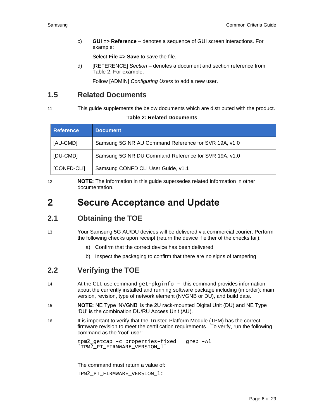c) **GUI => Reference** – denotes a sequence of GUI screen interactions. For example:

Select **File => Save** to save the file.

d) [REFERENCE] *Section* – denotes a document and section reference from [Table 2.](#page-5-4) For example:

Follow [ADMIN] *Configuring Users* to add a new user.

#### <span id="page-5-0"></span>**1.5 Related Documents**

<span id="page-5-4"></span>

#### 11 This guide supplements the below documents which are distributed with the product.

#### **Table 2: Related Documents**

| <b>Reference</b> | <b>Document</b>                                      |
|------------------|------------------------------------------------------|
| [AU-CMD]         | Samsung 5G NR AU Command Reference for SVR 19A, v1.0 |
| [DU-CMD]         | Samsung 5G NR DU Command Reference for SVR 19A, v1.0 |
| [CONFD-CLI]      | Samsung CONFD CLI User Guide, v1.1                   |

12 **NOTE:** The information in this guide supersedes related information in other documentation.

## <span id="page-5-1"></span>**2 Secure Acceptance and Update**

#### <span id="page-5-2"></span>**2.1 Obtaining the TOE**

#### 13 Your Samsung 5G AU/DU devices will be delivered via commercial courier. Perform the following checks upon receipt (return the device if either of the checks fail):

- a) Confirm that the correct device has been delivered
- b) Inspect the packaging to confirm that there are no signs of tampering

#### <span id="page-5-3"></span>**2.2 Verifying the TOE**

- 14 At the CLI, use command get-pkginfo this command provides information about the currently installed and running software package including (in order): main version, revision, type of network element (NVGNB or DU), and build date.
- 15 **NOTE:** NE Type 'NVGNB' is the 2U rack-mounted Digital Unit (DU) and NE Type 'DU' is the combination DU/RU Access Unit (AU).
- 16 It is important to verify that the Trusted Platform Module (TPM) has the correct firmware revision to meet the certification requirements. To verify, run the following command as the 'root' user:

tpm2\_getcap -c properties-fixed | grep -A1 'TPM2\_PT\_FIRMWARE\_VERSION\_1'

The command must return a value of: TPM2\_PT\_FIRMWARE\_VERSION\_1: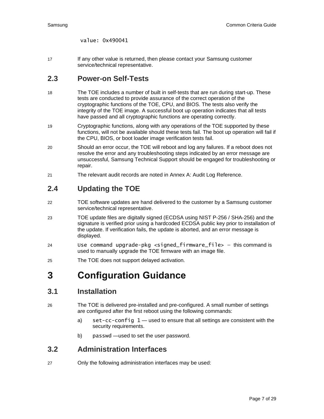value: 0x490041

17 If any other value is returned, then please contact your Samsung customer service/technical representative.

#### <span id="page-6-0"></span>**2.3 Power-on Self-Tests**

- 18 The TOE includes a number of built in self-tests that are run during start-up. These tests are conducted to provide assurance of the correct operation of the cryptographic functions of the TOE, CPU, and BIOS. The tests also verify the integrity of the TOE image. A successful boot up operation indicates that all tests have passed and all cryptographic functions are operating correctly.
- 19 Cryptographic functions, along with any operations of the TOE supported by these functions, will not be available should these tests fail. The boot up operation will fail if the CPU, BIOS, or boot loader image verification tests fail.
- 20 Should an error occur, the TOE will reboot and log any failures. If a reboot does not resolve the error and any troubleshooting steps indicated by an error message are unsuccessful, Samsung Technical Support should be engaged for troubleshooting or repair.
- 21 The relevant audit records are noted in [Annex A: Audit Log Reference.](#page-10-0)

#### <span id="page-6-1"></span>**2.4 Updating the TOE**

- 22 TOE software updates are hand delivered to the customer by a Samsung customer service/technical representative.
- 23 TOE update files are digitally signed (ECDSA using NIST P-256 / SHA-256) and the signature is verified prior using a hardcoded ECDSA public key prior to installation of the update. If verification fails, the update is aborted, and an error message is displayed.
- 24 Use command upgrade-pkg <signed\_firmware\_file> this command is used to manually upgrade the TOE firmware with an image file.
- 25 The TOE does not support delayed activation.

## <span id="page-6-2"></span>**3 Configuration Guidance**

#### <span id="page-6-3"></span>**3.1 Installation**

- 26 The TOE is delivered pre-installed and pre-configured. A small number of settings are configured after the first reboot using the following commands:
	- a) set-cc-config 1 used to ensure that all settings are consistent with the security requirements.
	- b) passwd —used to set the user password.

#### <span id="page-6-4"></span>**3.2 Administration Interfaces**

27 Only the following administration interfaces may be used: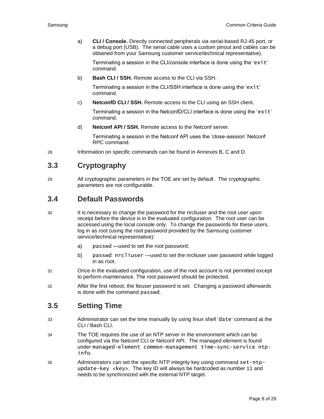a) **CLI / Console.** Directly connected peripherals via serial-based RJ-45 port, or a debug port (USB). The serial cable uses a custom pinout and cables can be obtained from your Samsung customer service/technical representative).

Terminating a session in the CLI/console interface is done using the 'exit' command.

b) **Bash CLI / SSH.** Remote access to the CLI via SSH.

Terminating a session in the CLI/SSH interface is done using the 'exit' command.

c) **NetconfD CLI / SSH.** Remote access to the CLI using an SSH client.

Terminating a session in the NetconfD/CLI interface is done using the 'exit' command.

d) **Netconf API / SSH.** Remote access to the Netconf server.

Terminating a session in the Netconf API uses the 'close-session' Netconf RPC command.

28 Information on specific commands can be found in Annexes B, C and D.

#### <span id="page-7-0"></span>**3.3 Cryptography**

29 All cryptographic parameters in the TOE are set by default. The cryptographic parameters are not configurable.

#### <span id="page-7-1"></span>**3.4 Default Passwords**

- 30 It is necessary to change the password for the nrcliuser and the root user upon receipt before the device is in the evaluated configuration. The root user can be accessed using the local console only. To change the passwords for these users, log in as root (using the root password provided by the Samsung customer service/technical representative):
	- a) passwd —used to set the root password.
	- b) passwd nrcliuser —used to set the nrcliuser user password while logged in as root.
- 31 Once in the evaluated configuration, use of the root account is not permitted except to perform maintenance. The root password should be protected.
- 32 After the first reboot, the lteuser password is set. Changing a password afterwards is done with the command passwd.

#### <span id="page-7-2"></span>**3.5 Setting Time**

- 33 Administrator can set the time manually by using linux shell 'date' command at the CLI / Bash CLI.
- 34 The TOE requires the use of an NTP server in the environment which can be configured via the Netconf CLI or Netconf API. The managed element is found under managed-element common-management time-sync-service ntpinfo.
- 35 Administrators can set the specific NTP integrity key using command set-ntpupdate-key  $\langle$ key>. The key ID will always be hardcoded as number 11 and needs to be synchronized with the external NTP target.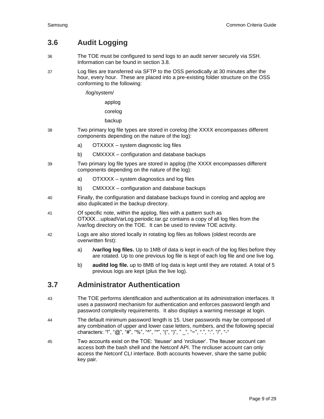#### <span id="page-8-0"></span>**3.6 Audit Logging**

- 36 The TOE must be configured to send logs to an audit server securely via SSH. Information can be found in section [3.8.](#page-9-0)
- 37 Log files are transferred via SFTP to the OSS periodically at 30 minutes after the hour, every hour. These are placed into a pre-existing folder structure on the OSS conforming to the following:
	- /log/system/

applog

corelog

backup

- 38 Two primary log file types are stored in corelog (the XXXX encompasses different components depending on the nature of the log):
	- a) OTXXXX system diagnostic log files
	- b) CMXXXX configuration and database backups
- 39 Two primary log file types are stored in applog (the XXXX encompasses different components depending on the nature of the log):
	- a) OTXXXX system diagnostics and log files
	- b) CMXXXX configuration and database backups
- 40 Finally, the configuration and database backups found in corelog and applog are also duplicated in the backup directory.
- 41 Of specific note, within the applog, files with a pattern such as OTXXX…uploadVarLog.periodic.tar.gz contains a copy of all log files from the /var/log directory on the TOE. It can be used to review TOE activity.
- 42 Logs are also stored locally in rotating log files as follows (oldest records are overwritten first):
	- a) **/var/log log files.** Up to 1MB of data is kept in each of the log files before they are rotated. Up to one previous log file is kept of each log file and one live log.
	- b) **auditd log file.** up to 8MB of log data is kept until they are rotated. A total of 5 previous logs are kept (plus the live log).

#### <span id="page-8-1"></span>**3.7 Administrator Authentication**

- 43 The TOE performs identification and authentication at its administration interfaces. It uses a password mechanism for authentication and enforces password length and password complexity requirements. It also displays a warning message at login.
- 44 The default minimum password length is 15. User passwords may be composed of any combination of upper and lower case letters, numbers, and the following special characters: "!", "@", "#", "%", "^", "\*", "(", ")", "\_", "~", ".", ",", ",", "-"
- 45 Two accounts exist on the TOE: 'lteuser' and 'nrcliuser'. The lteuser account can access both the bash shell and the Netconf API. The nrcliuser account can only access the Netconf CLI interface. Both accounts however, share the same public key pair.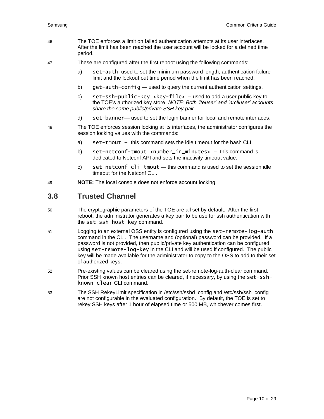- 46 The TOE enforces a limit on failed authentication attempts at its user interfaces. After the limit has been reached the user account will be locked for a defined time period.
- 47 These are configured after the first reboot using the following commands:
	- a) set-auth used to set the minimum password length, authentication failure limit and the lockout out time period when the limit has been reached.
	- b) get-auth-config used to query the current authentication settings.
	- c) set-ssh-public-key <key-file>  $-$  used to add a user public key to the TOE's authorized key store. *NOTE: Both 'lteuser' and 'nrcliuser' accounts share the same public/private SSH key pair.*
	- d) set-banner— used to set the login banner for local and remote interfaces.
- 48 The TOE enforces session locking at its interfaces, the administrator configures the session locking values with the commands:
	- a) set-tmout this command sets the idle timeout for the bash CLI.
	- b) set-netconf-tmout <number\_in\_minutes> this command is dedicated to Netconf API and sets the inactivity timeout value.
	- c) set-netconf-cli-tmout this command is used to set the session idle timeout for the Netconf CLI.
- 49 **NOTE:** The local console does not enforce account locking.

#### <span id="page-9-0"></span>**3.8 Trusted Channel**

- 50 The cryptographic parameters of the TOE are all set by default. After the first reboot, the administrator generates a key pair to be use for ssh authentication with the set-ssh-host-key command.
- 51 Logging to an external OSS entity is configured using the set-remote-log-auth command in the CLI. The username and (optional) password can be provided. If a password is not provided, then public/private key authentication can be configured using set-remote-log-key in the CLI and will be used if configured. The public key will be made available for the administrator to copy to the OSS to add to their set of authorized keys.
- 52 Pre-existing values can be cleared using the set-remote-log-auth-clear command. Prior SSH known host entries can be cleared, if necessary, by using the set-sshknown-clear CLI command.
- 53 The SSH RekeyLimit specification in /etc/ssh/sshd\_config and /etc/ssh/ssh\_config are not configurable in the evaluated configuration. By default, the TOE is set to rekey SSH keys after 1 hour of elapsed time or 500 MB, whichever comes first.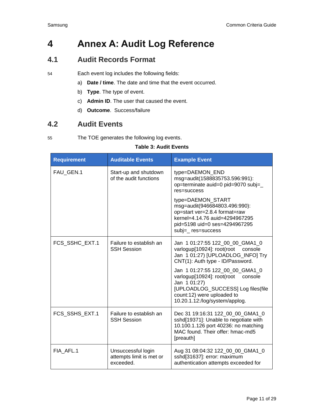## <span id="page-10-0"></span>**4 Annex A: Audit Log Reference**

#### <span id="page-10-1"></span>**4.1 Audit Records Format**

54 Each event log includes the following fields:

- a) **Date / time**. The date and time that the event occurred.
- b) **Type**. The type of event.
- c) **Admin ID**. The user that caused the event.
- d) **Outcome**. Success/failure

#### <span id="page-10-2"></span>**4.2 Audit Events**

<span id="page-10-3"></span>55 The TOE generates the following log events.

#### **Table 3: Audit Events**

| <b>Requirement</b> | <b>Auditable Events</b>                                     | <b>Example Event</b>                                                                                                                                                                          |
|--------------------|-------------------------------------------------------------|-----------------------------------------------------------------------------------------------------------------------------------------------------------------------------------------------|
| FAU GEN.1          | Start-up and shutdown<br>of the audit functions             | type=DAEMON_END<br>msg=audit(1588835753.596:991):<br>op=terminate auid=0 pid=9070 subj=<br>res=success                                                                                        |
|                    |                                                             | type=DAEMON_START<br>msg=audit(946684803.496:990):<br>op=start ver=2.8.4 format=raw<br>kernel=4.14.76 auid=4294967295<br>pid=5198 uid=0 ses=4294967295<br>subj=_ res=success                  |
| FCS_SSHC_EXT.1     | Failure to establish an<br><b>SSH Session</b>               | Jan 1 01:27:55 122_00_00_GMA1_0<br>varlogup[10924]: root(root<br>console<br>Jan 1 01:27) [UPLOADLOG_INFO] Try<br>CNT(1): Auth type - ID/Password.                                             |
|                    |                                                             | Jan 1 01:27:55 122 00 00 GMA1 0<br>varlogup[10924]: root(root<br>console<br>Jan 101:27)<br>[UPLOADLOG_SUCCESS] Log files(file<br>count:12) were uploaded to<br>10.20.1.12:/log/system/applog. |
| FCS_SSHS_EXT.1     | Failure to establish an<br><b>SSH Session</b>               | Dec 31 19:16:31 122_00_00_GMA1_0<br>sshd[19371]: Unable to negotiate with<br>10.100.1.126 port 40236: no matching<br>MAC found. Their offer: hmac-md5<br>[preauth]                            |
| FIA AFL.1          | Unsuccessful login<br>attempts limit is met or<br>exceeded. | Aug 31 08:04:32 122_00_00_GMA1_0<br>sshd[31637]: error: maximum<br>authentication attempts exceeded for                                                                                       |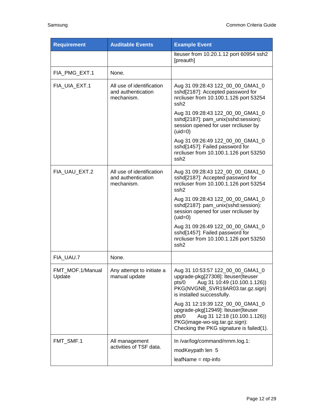| <b>Requirement</b>         | <b>Auditable Events</b>                                       | <b>Example Event</b>                                                                                                                                                                           |
|----------------------------|---------------------------------------------------------------|------------------------------------------------------------------------------------------------------------------------------------------------------------------------------------------------|
|                            |                                                               | Iteuser from 10.20.1.12 port 60954 ssh2<br>[preauth]                                                                                                                                           |
| FIA_PMG_EXT.1              | None.                                                         |                                                                                                                                                                                                |
| FIA_UIA_EXT.1              | All use of identification<br>and authentication<br>mechanism. | Aug 31 09:28:43 122_00_00_GMA1_0<br>sshd[2187]: Accepted password for<br>nrcliuser from 10.100.1.126 port 53254<br>ssh <sub>2</sub>                                                            |
|                            |                                                               | Aug 31 09:28:43 122_00_00_GMA1_0<br>sshd[2187]: pam_unix(sshd:session):<br>session opened for user nrcliuser by<br>$(uid=0)$                                                                   |
|                            |                                                               | Aug 31 09:26:49 122_00_00_GMA1_0<br>sshd[1457]: Failed password for<br>nrcliuser from 10.100.1.126 port 53250<br>ssh <sub>2</sub>                                                              |
| FIA UAU EXT.2              | All use of identification<br>and authentication<br>mechanism. | Aug 31 09:28:43 122_00_00_GMA1_0<br>sshd[2187]: Accepted password for<br>nrcliuser from 10.100.1.126 port 53254<br>ssh <sub>2</sub>                                                            |
|                            |                                                               | Aug 31 09:28:43 122_00_00_GMA1_0<br>sshd[2187]: pam_unix(sshd:session):<br>session opened for user nrcliuser by<br>$(uid=0)$                                                                   |
|                            |                                                               | Aug 31 09:26:49 122_00_00_GMA1_0<br>sshd[1457]: Failed password for<br>nrcliuser from 10.100.1.126 port 53250<br>ssh <sub>2</sub>                                                              |
| FIA_UAU.7                  | None.                                                         |                                                                                                                                                                                                |
| FMT MOF.1/Manual<br>Update | Any attempt to initiate a<br>manual update                    | Aug 31 10:53:57 122_00_00_GMA1_0<br>upgrade-pkg[27308]: Iteuser(Iteuser<br>Aug 31 10:49 (10.100.1.126))<br>pts/0<br>PKG(NVGNB_SVR19AR03.tar.gz.sign)<br>is installed successfully.             |
|                            |                                                               | Aug 31 12:19:39 122_00_00_GMA1_0<br>upgrade-pkg[12949]: Iteuser(Iteuser<br>Aug 31 12:18 (10.100.1.126))<br>pts/0<br>PKG(image-wo-sig.tar.gz.sign):<br>Checking the PKG signature is failed(1). |
| FMT_SMF.1                  | All management<br>activities of TSF data.                     | In /var/log/command/nrnm.log.1:<br>modKeypath len 5<br>$leafName = ntp-info$                                                                                                                   |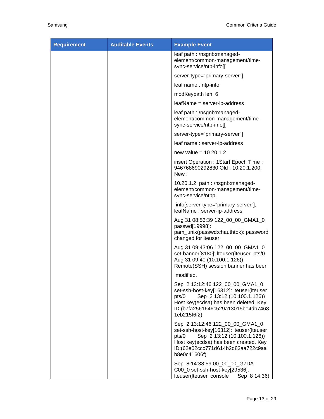| <b>Requirement</b> | <b>Auditable Events</b> | <b>Example Event</b>                                                                                                                                                                                              |
|--------------------|-------------------------|-------------------------------------------------------------------------------------------------------------------------------------------------------------------------------------------------------------------|
|                    |                         | leaf path : /nsgnb:managed-<br>element/common-management/time-<br>sync-service/ntp-info[[                                                                                                                         |
|                    |                         | server-type="primary-server"]                                                                                                                                                                                     |
|                    |                         | leaf name: ntp-info                                                                                                                                                                                               |
|                    |                         | modKeypath len 6                                                                                                                                                                                                  |
|                    |                         | leafName = server-ip-address                                                                                                                                                                                      |
|                    |                         | leaf path : /nsgnb:managed-<br>element/common-management/time-<br>sync-service/ntp-info[[                                                                                                                         |
|                    |                         | server-type="primary-server"]                                                                                                                                                                                     |
|                    |                         | leaf name: server-ip-address                                                                                                                                                                                      |
|                    |                         | new value = $10.20.1.2$                                                                                                                                                                                           |
|                    |                         | insert Operation : 1Start Epoch Time :<br>946768690292830 Old: 10.20.1.200,<br>New :                                                                                                                              |
|                    |                         | 10.20.1.2, path: /nsgnb:managed-<br>element/common-management/time-<br>sync-service/ntpp                                                                                                                          |
|                    |                         | -info[server-type="primary-server"],<br>leafName: server-ip-address                                                                                                                                               |
|                    |                         | Aug 31 08:53:39 122_00_00_GMA1_0<br>passwd[19998]:<br>pam_unix(passwd:chauthtok): password<br>changed for Iteuser                                                                                                 |
|                    |                         | Aug 31 09:43:06 122_00_00_GMA1_0<br>set-banner[8180]: Iteuser(Iteuser pts/0<br>Aug 31 09:40 (10.100.1.126))<br>Remote(SSH) session banner has been                                                                |
|                    |                         | modified.                                                                                                                                                                                                         |
|                    |                         | Sep 2 13:12:46 122_00_00_GMA1_0<br>set-ssh-host-key[16312]: Iteuser(Iteuser<br>Sep 2 13:12 (10.100.1.126))<br>pts/0<br>Host key(ecdsa) has been deleted. Key<br>ID:(b7fa2561646c529a13015be4db7468<br>1eb215f6f2) |
|                    |                         | Sep 2 13:12:46 122_00_00_GMA1_0<br>set-ssh-host-key[16312]: Iteuser(Iteuser<br>Sep 2 13:12 (10.100.1.126))<br>pts/0<br>Host key(ecdsa) has been created. Key<br>ID:(62e02ccc771d614b2d83aa722c9aa<br>b8e0c41606f) |
|                    |                         | Sep 8 14:38:59 00 00 00 G7DA-<br>C00_0 set-ssh-host-key[29536]:<br>Iteuser(Iteuser console<br>Sep 8 14:36)                                                                                                        |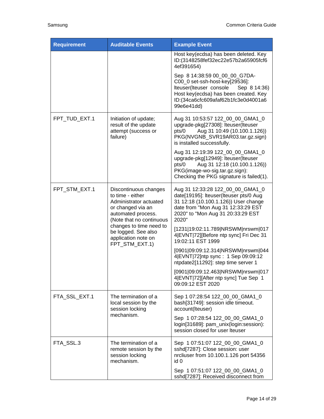| <b>Requirement</b> | <b>Auditable Events</b>                                                                                                                    | <b>Example Event</b>                                                                                                                                                                                     |
|--------------------|--------------------------------------------------------------------------------------------------------------------------------------------|----------------------------------------------------------------------------------------------------------------------------------------------------------------------------------------------------------|
|                    |                                                                                                                                            | Host key(ecdsa) has been deleted. Key<br>ID:(3148258fef32ec22e57b2a65905fcf6<br>4ef391654)                                                                                                               |
|                    |                                                                                                                                            | Sep 8 14:38:59 00 00 00 G7DA-<br>C00_0 set-ssh-host-key[29536]:<br>Iteuser(Iteuser console<br>Sep 8 14:36)<br>Host key(ecdsa) has been created. Key<br>ID:(34ca6cfc609afaf62b1fc3e0d4001a6<br>99e6e41dd) |
| FPT_TUD_EXT.1      | Initiation of update;<br>result of the update<br>attempt (success or<br>failure)                                                           | Aug 31 10:53:57 122_00_00_GMA1_0<br>upgrade-pkg[27308]: Iteuser(Iteuser<br>Aug 31 10:49 (10.100.1.126))<br>pts/0<br>PKG(NVGNB_SVR19AR03.tar.gz.sign)<br>is installed successfully.                       |
|                    |                                                                                                                                            | Aug 31 12:19:39 122 00 00 GMA1 0<br>upgrade-pkg[12949]: Iteuser(Iteuser<br>Aug 31 12:18 (10.100.1.126))<br>pts/0<br>PKG(image-wo-sig.tar.gz.sign):<br>Checking the PKG signature is failed(1).           |
| FPT_STM_EXT.1      | Discontinuous changes<br>to time - either<br>Administrator actuated<br>or changed via an<br>automated process.<br>(Note that no continuous | Aug 31 12:33:28 122_00_00_GMA1_0<br>date[19195]: Iteuser(Iteuser pts/0 Aug<br>31 12:18 (10.100.1.126)) User change<br>date from "Mon Aug 31 12:33:29 EST<br>2020" to "Mon Aug 31 20:33:29 EST<br>2020"   |
|                    | changes to time need to<br>be logged. See also<br>application note on<br>FPT STM EXT.1)                                                    | [1231 19:02:11.789 NRSWM nrswm 017<br>4 EVNT 72][Before ntp sync] Fri Dec 31<br>19:02:11 EST 1999                                                                                                        |
|                    |                                                                                                                                            | [0901 09:09:12.314 NRSWM nrswm 044<br>4 EVNT 72]ntp sync: 1 Sep 09:09:12<br>ntpdate2[11292]: step time server 1                                                                                          |
|                    |                                                                                                                                            | [0901 09:09:12.463 NRSWM nrswm 017<br>4 EVNT 72][After ntp sync] Tue Sep 1<br>09:09:12 EST 2020                                                                                                          |
| FTA_SSL_EXT.1      | The termination of a<br>local session by the<br>session locking                                                                            | Sep 1 07:28:54 122_00_00_GMA1_0<br>bash[31749]: session idle timeout.<br>account(Iteuser)                                                                                                                |
|                    | mechanism.                                                                                                                                 | Sep 1 07:28:54 122_00_00_GMA1_0<br>login[31689]: pam_unix(login:session):<br>session closed for user Iteuser                                                                                             |
| FTA_SSL.3          | The termination of a<br>remote session by the<br>session locking<br>mechanism.                                                             | Sep 1 07:51:07 122_00_00_GMA1_0<br>sshd[7287]: Close session: user<br>nrcliuser from 10.100.1.126 port 54356<br>id 0                                                                                     |
|                    |                                                                                                                                            | Sep 1 07:51:07 122_00_00_GMA1_0<br>sshd[7287]: Received disconnect from                                                                                                                                  |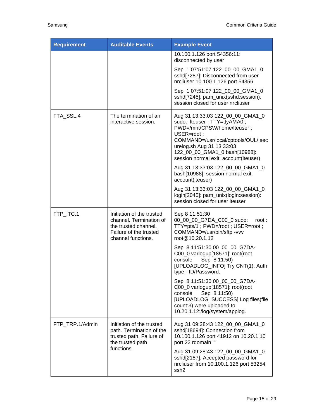| <b>Requirement</b> | <b>Auditable Events</b>                                                                                                      | <b>Example Event</b>                                                                                                                                                                                                                                       |
|--------------------|------------------------------------------------------------------------------------------------------------------------------|------------------------------------------------------------------------------------------------------------------------------------------------------------------------------------------------------------------------------------------------------------|
|                    |                                                                                                                              | 10.100.1.126 port 54356:11:<br>disconnected by user                                                                                                                                                                                                        |
|                    |                                                                                                                              | Sep 1 07:51:07 122_00_00_GMA1_0<br>sshd[7287]: Disconnected from user<br>nrcliuser 10.100.1.126 port 54356                                                                                                                                                 |
|                    |                                                                                                                              | Sep 1 07:51:07 122_00_00_GMA1_0<br>sshd[7245]: pam_unix(sshd:session):<br>session closed for user nrcliuser                                                                                                                                                |
| FTA_SSL.4          | The termination of an<br>interactive session.                                                                                | Aug 31 13:33:03 122_00_00_GMA1_0<br>sudo: Iteuser: TTY=ttyAMA0;<br>PWD=/mnt/CPSW/home/lteuser;<br>USER=root;<br>COMMAND=/usr/local/cptools/OUL/.sec<br>urelog.sh Aug 31 13:33:03<br>122_00_00_GMA1_0 bash[10988]:<br>session normal exit. account(Iteuser) |
|                    |                                                                                                                              | Aug 31 13:33:03 122_00_00_GMA1_0<br>bash[10988]: session normal exit.<br>account(Iteuser)                                                                                                                                                                  |
|                    |                                                                                                                              | Aug 31 13:33:03 122_00_00_GMA1_0<br>login[2045]: pam_unix(login:session):<br>session closed for user Iteuser                                                                                                                                               |
| FTP_ITC.1          | Initiation of the trusted<br>channel. Termination of<br>the trusted channel.<br>Failure of the trusted<br>channel functions. | Sep 8 11:51:30<br>00_00_00_G7DA_C00_0 sudo:<br>root:<br>TTY=pts/1; PWD=/root; USER=root;<br>COMMAND=/usr/bin/sftp -vvv<br>root@10.20.1.12                                                                                                                  |
|                    |                                                                                                                              | Sep 8 11:51:30 00_00_00_G7DA-<br>C00_0 varlogup[18571]: root(root<br>console<br>Sep 8 11:50)<br>[UPLOADLOG_INFO] Try CNT(1): Auth<br>type - ID/Password.                                                                                                   |
|                    |                                                                                                                              | Sep 8 11:51:30 00_00_00_G7DA-<br>C00_0 varlogup[18571]: root(root<br>Sep 8 11:50)<br>console<br>[UPLOADLOG_SUCCESS] Log files(file<br>count:3) were uploaded to<br>10.20.1.12:/log/system/applog.                                                          |
| FTP_TRP.1/Admin    | Initiation of the trusted<br>path. Termination of the<br>trusted path. Failure of<br>the trusted path                        | Aug 31 09:28:43 122_00_00_GMA1_0<br>sshd[18694]: Connection from<br>10.100.1.126 port 41912 on 10.20.1.10<br>port 22 rdomain ""                                                                                                                            |
|                    | functions.                                                                                                                   | Aug 31 09:28:43 122_00_00_GMA1_0<br>sshd[2187]: Accepted password for<br>nrcliuser from 10.100.1.126 port 53254<br>ssh <sub>2</sub>                                                                                                                        |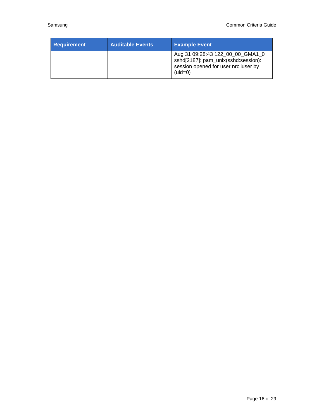| <b>Requirement</b> | <b>Auditable Events</b> | <b>Example Event</b>                                                                                                         |
|--------------------|-------------------------|------------------------------------------------------------------------------------------------------------------------------|
|                    |                         | Aug 31 09:28:43 122_00_00_GMA1_0<br>sshd[2187]: pam_unix(sshd:session):<br>session opened for user nrcliuser by<br>$(uid=0)$ |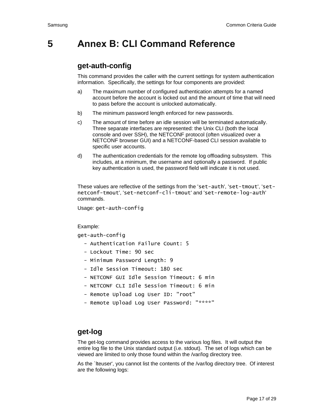## <span id="page-16-0"></span>**5 Annex B: CLI Command Reference**

#### **get-auth-config**

This command provides the caller with the current settings for system authentication information. Specifically, the settings for four components are provided:

- a) The maximum number of configured authentication attempts for a named account before the account is locked out and the amount of time that will need to pass before the account is unlocked automatically.
- b) The minimum password length enforced for new passwords.
- c) The amount of time before an idle session will be terminated automatically. Three separate interfaces are represented: the Unix CLI (both the local console and over SSH), the NETCONF protocol (often visualized over a NETCONF browser GUI) and a NETCONF-based CLI session available to specific user accounts.
- d) The authentication credentials for the remote log offloading subsystem. This includes, at a minimum, the username and optionally a password. If public key authentication is used, the password field will indicate it is not used.

These values are reflective of the settings from the 'set-auth', 'set-tmout', 'setnetconf-tmout', 'set-netconf-cli-tmout' and 'set-remote-log-auth' commands.

Usage: get-auth-config

Example:

get-auth-config

- Authentication Failure Count: 5
- Lockout Time: 90 sec
- Minimum Password Length: 9
- Idle Session Timeout: 180 sec
- NETCONF GUI Idle Session Timeout: 6 min
- NETCONF CLI Idle Session Timeout: 6 min
- Remote Upload Log User ID: "root"
- Remote Upload Log User Password: "\*\*\*\*"

#### **get-log**

The get-log command provides access to the various log files. It will output the entire log file to the Unix standard output (i.e. stdout). The set of logs which can be viewed are limited to only those found within the /var/log directory tree.

As the `Iteuser', you cannot list the contents of the /var/log directory tree. Of interest are the following logs: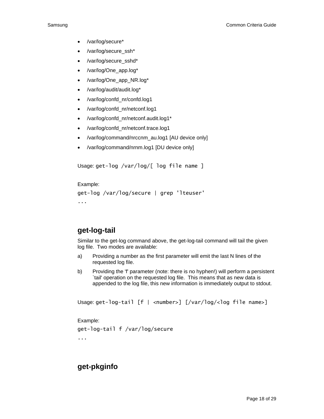- /var/log/secure\*
- /var/log/secure\_ssh\*
- /var/log/secure\_sshd\*
- /var/log/One\_app.log\*
- /var/log/One\_app\_NR.log\*
- /var/log/audit/audit.log\*
- /var/log/confd\_nr/confd.log1
- /var/log/confd\_nr/netconf.log1
- /var/log/confd\_nr/netconf.audit.log1\*
- /var/log/confd\_nr/netconf.trace.log1
- /var/log/command/nrccnm\_au.log1 [AU device only]
- /var/log/command/nrnm.log1 [DU device only]

Usage: get-log /var/log/[ log file name ]

Example:

```
get-log /var/log/secure | grep 'lteuser'
```
...

#### **get-log-tail**

Similar to the get-log command above, the get-log-tail command will tail the given log file. Two modes are available:

- a) Providing a number as the first parameter will emit the last N lines of the requested log file.
- b) Providing the 'f' parameter (note: there is no hyphen!) will perform a persistent `tail' operation on the requested log file. This means that as new data is appended to the log file, this new information is immediately output to stdout.

Usage: get-log-tail [f | <number>] [/var/log/<log file name>]

Example:

```
get-log-tail f /var/log/secure
...
```
**get-pkginfo**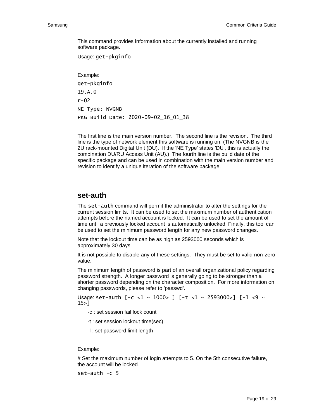This command provides information about the currently installed and running software package.

Usage: get-pkginfo

Example: get-pkginfo 19.A.0 r-02 NE Type: NVGNB PKG Build Date: 2020-09-02\_16\_01\_38

The first line is the main version number. The second line is the revision. The third line is the type of network element this software is running on. (The NVGNB is the 2U rack-mounted Digital Unit (DU). If the 'NE Type' states 'DU', this is actually the combination DU/RU Access Unit (AU).) The fourth line is the build date of the specific package and can be used in combination with the main version number and revision to identify a unique iteration of the software package.

#### **set-auth**

The set-auth command will permit the administrator to alter the settings for the current session limits. It can be used to set the maximum number of authentication attempts before the named account is locked. It can be used to set the amount of time until a previously locked account is automatically unlocked. Finally, this tool can be used to set the minimum password length for any new password changes.

Note that the lockout time can be as high as 2593000 seconds which is approximately 30 days.

It is not possible to disable any of these settings. They must be set to valid non-zero value.

The minimum length of password is part of an overall organizational policy regarding password strength. A longer password is generally going to be stronger than a shorter password depending on the character composition. For more information on changing passwords, please refer to 'passwd'.

```
Usage: set-auth [-c <1 ~ 1000> ] [-t <1 ~ 2593000>] [-1 <9 ~
15>]
```
- -c : set session fail lock count
- -t : set session lockout time(sec)
- -l : set password limit length

#### Example:

# Set the maximum number of login attempts to 5. On the 5th consecutive failure, the account will be locked.

set-auth -c 5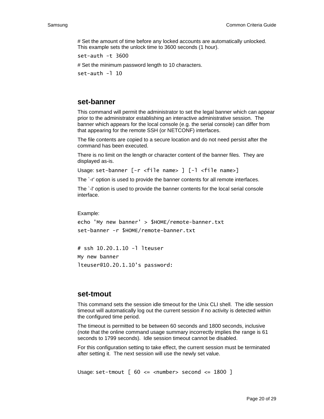# Set the amount of time before any locked accounts are automatically unlocked. This example sets the unlock time to 3600 seconds (1 hour).

set-auth -t 3600

# Set the minimum password length to 10 characters.

set-auth -l 10

#### **set-banner**

This command will permit the administrator to set the legal banner which can appear prior to the administrator establishing an interactive administrative session. The banner which appears for the local console (e.g. the serial console) can differ from that appearing for the remote SSH (or NETCONF) interfaces.

The file contents are copied to a secure location and do not need persist after the command has been executed.

There is no limit on the length or character content of the banner files. They are displayed as-is.

Usage: set-banner [-r <file name> ] [-l <file name>]

The `-r' option is used to provide the banner contents for all remote interfaces.

The `-l' option is used to provide the banner contents for the local serial console interface.

Example:

```
echo 'My new banner' > $HOME/remote-banner.txt
set-banner -r $HOME/remote-banner.txt
```
# ssh 10.20.1.10 -l lteuser My new banner lteuser@10.20.1.10's password:

#### **set-tmout**

This command sets the session idle timeout for the Unix CLI shell. The idle session timeout will automatically log out the current session if no activity is detected within the configured time period.

The timeout is permitted to be between 60 seconds and 1800 seconds, inclusive (note that the online command usage summary incorrectly implies the range is 61 seconds to 1799 seconds). Idle session timeout cannot be disabled.

For this configuration setting to take effect, the current session must be terminated after setting it. The next session will use the newly set value.

```
Usage: set-tmout [60 \leq x - \tanh e second \leq 1800]
```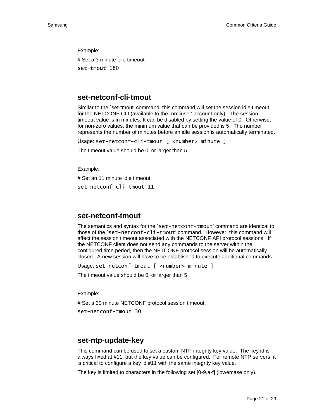Example: # Set a 3 minute idle timeout. set-tmout 180

#### **set-netconf-cli-tmout**

Similar to the `set-tmout' command, this command will set the session idle timeout for the NETCONF CLI (available to the `nrcliuser' account only). The session timeout value is in minutes. It can be disabled by setting the value of 0. Otherwise, for non-zero values, the minimum value that can be provided is 5. The number represents the number of minutes before an idle session is automatically terminated.

Usage: set-netconf-cli-tmout [ <number> minute ]

The timeout value should be 0, or larger than 5

Example:

# Set an 11 minute idle timeout: set-netconf-cli-tmout 11

#### **set-netconf-tmout**

The semantics and syntax for the `set-netconf-tmout' command are identical to those of the `set-netconf-cli-tmout' command. However, this command will affect the session timeout associated with the NETCONF API protocol sessions. If the NETCONF client does not send any commands to the server within the configured time period, then the NETCONF protocol session will be automatically closed. A new session will have to be established to execute additional commands.

Usage: set-netconf-tmout [ <number> minute ]

The timeout value should be 0, or larger than 5

Example:

# Set a 30 minute NETCONF protocol session timeout.

set-netconf-tmout 30

#### **set-ntp-update-key**

This command can be used to set a custom NTP integrity key value. The key id is always fixed at #11, but the key value can be configured. For remote NTP servers, it is critical to configure a key id #11 with the same integrity key value.

The key is limited to characters in the following set [0-9,a-f] (lowercase only).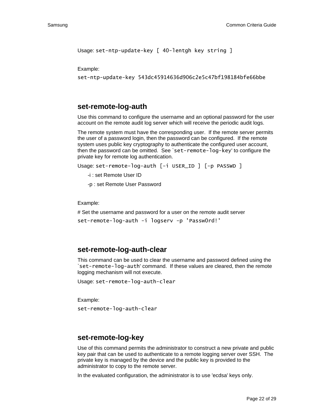```
Usage: set-ntp-update-key [ 40-lentgh key string ]
```
Example:

set-ntp-update-key 543dc45914636d906c2e5c47bf198184bfe66bbe

#### **set-remote-log-auth**

Use this command to configure the username and an optional password for the user account on the remote audit log server which will receive the periodic audit logs.

The remote system must have the corresponding user. If the remote server permits the user of a password login, then the password can be configured. If the remote system uses public key cryptography to authenticate the configured user account, then the password can be omitted. See `set-remote-log-key' to configure the private key for remote log authentication.

```
Usage: set-remote-log-auth [-i USER_ID ] [-p PASSWD ]
```
- -i : set Remote User ID
- -p : set Remote User Password

Example:

# Set the username and password for a user on the remote audit server

```
set-remote-log-auth -i logserv -p 'Passw0rd!'
```
#### **set-remote-log-auth-clear**

This command can be used to clear the username and password defined using the `set-remote-log-auth' command. If these values are cleared, then the remote logging mechanism will not execute.

```
Usage: set-remote-log-auth-clear
```
Example:

set-remote-log-auth-clear

#### **set-remote-log-key**

Use of this command permits the administrator to construct a new private and public key pair that can be used to authenticate to a remote logging server over SSH. The private key is managed by the device and the public key is provided to the administrator to copy to the remote server.

In the evaluated configuration, the administrator is to use 'ecdsa' keys only.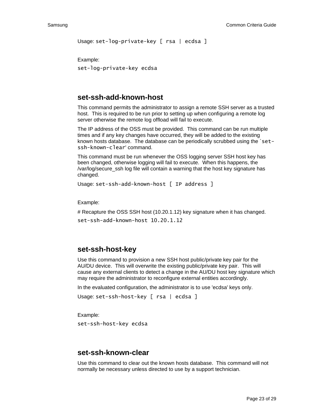```
Usage: set-log-private-key [ rsa | ecdsa ]
```
Example:

set-log-private-key ecdsa

#### **set-ssh-add-known-host**

This command permits the administrator to assign a remote SSH server as a trusted host. This is required to be run prior to setting up when configuring a remote log server otherwise the remote log offload will fail to execute.

The IP address of the OSS must be provided. This command can be run multiple times and if any key changes have occurred, they will be added to the existing known hosts database. The database can be periodically scrubbed using the `setssh-known-clear' command.

This command must be run whenever the OSS logging server SSH host key has been changed, otherwise logging will fail to execute. When this happens, the /var/log/secure\_ssh log file will contain a warning that the host key signature has changed.

```
Usage: set-ssh-add-known-host [ IP address ]
```
Example:

# Recapture the OSS SSH host (10.20.1.12) key signature when it has changed. set-ssh-add-known-host 10.20.1.12

#### **set-ssh-host-key**

Use this command to provision a new SSH host public/private key pair for the AU/DU device. This will overwrite the existing public/private key pair. This will cause any external clients to detect a change in the AU/DU host key signature which may require the administrator to reconfigure external entities accordingly.

In the evaluated configuration, the administrator is to use 'ecdsa' keys only.

```
Usage: set-ssh-host-key [ rsa | ecdsa ]
```
Example: set-ssh-host-key ecdsa

#### **set-ssh-known-clear**

Use this command to clear out the known hosts database. This command will not normally be necessary unless directed to use by a support technician.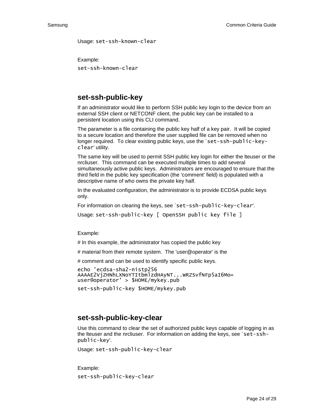Usage: set-ssh-known-clear

Example:

set-ssh-known-clear

#### **set-ssh-public-key**

If an administrator would like to perform SSH public key login to the device from an external SSH client or NETCONF client, the public key can be installed to a persistent location using this CLI command.

The parameter is a file containing the public key half of a key pair. It will be copied to a secure location and therefore the user supplied file can be removed when no longer required. To clear existing public keys, use the `set-ssh-public-keyclear' utility.

The same key will be used to permit SSH public key login for either the lteuser or the nrcliuser. This command can be executed multiple times to add several simultaneously active public keys. Administrators are encouraged to ensure that the third field in the public key specification (the 'comment' field) is populated with a descriptive name of who owns the private key half.

In the evaluated configuration, the administrator is to provide ECDSA public keys only.

For information on clearing the keys, see `set-ssh-public-key-clear'.

Usage: set-ssh-public-key [ OpenSSH public key file ]

Example:

# In this example, the administrator has copied the public key

# material from their remote system. The 'user@operator' is the

# comment and can be used to identify specific public keys.

echo 'ecdsa-sha2-nistp256 AAAAE2VjZHNhLXNoYTItbmlzdHAyNT...WRZSvfNFp5aI6Mo= user@operator' > \$HOME/mykey.pub

```
set-ssh-public-key $HOME/mykey.pub
```
#### **set-ssh-public-key-clear**

Use this command to clear the set of authorized public keys capable of logging in as the Iteuser and the nrcliuser. For information on adding the keys, see `set-sshpublic-key'.

Usage: set-ssh-public-key-clear

Example:

set-ssh-public-key-clear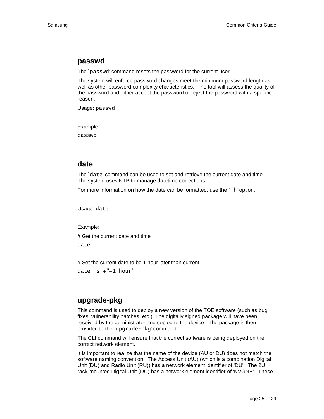#### **passwd**

The `passwd' command resets the password for the current user.

The system will enforce password changes meet the minimum password length as well as other password complexity characteristics. The tool will assess the quality of the password and either accept the password or reject the password with a specific reason.

Usage: passwd

Example:

passwd

#### **date**

The `date' command can be used to set and retrieve the current date and time. The system uses NTP to manage datetime corrections.

For more information on how the date can be formatted, use the `-h' option.

Usage: date

Example:

# Get the current date and time

date

# Set the current date to be 1 hour later than current date  $-s$  +"+1 hour"

#### **upgrade-pkg**

This command is used to deploy a new version of the TOE software (such as bug fixes, vulnerability patches, etc.) The digitally signed package will have been received by the administrator and copied to the device. The package is then provided to the `upgrade-pkg' command.

The CLI command will ensure that the correct software is being deployed on the correct network element.

It is important to realize that the name of the device (AU or DU) does not match the software naming convention. The Access Unit (AU) (which is a combination Digital Unit (DU) and Radio Unit (RU)) has a network element identifier of 'DU'. The 2U rack-mounted Digital Unit (DU) has a network element identifier of 'NVGNB'. These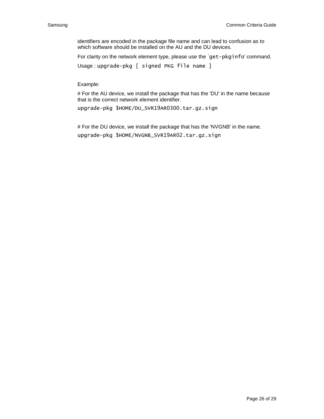identifiers are encoded in the package file name and can lead to confusion as to which software should be installed on the AU and the DU devices.

For clarity on the network element type, please use the `get-pkginfo' command.

Usage : upgrade-pkg [ signed PKG file name ]

Example:

# For the AU device, we install the package that has the 'DU' in the name because that is the correct network element identifier.

upgrade-pkg \$HOME/DU\_SVR19AR0300.tar.gz.sign

# For the DU device, we install the package that has the 'NVGNB' in the name. upgrade-pkg \$HOME/NVGNB\_SVR19AR02.tar.gz.sign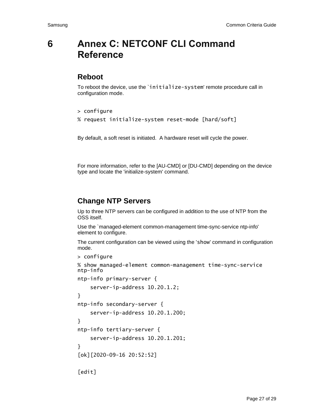## <span id="page-26-0"></span>**6 Annex C: NETCONF CLI Command Reference**

#### **Reboot**

To reboot the device, use the `initialize-system' remote procedure call in configuration mode.

```
> configure
```
% request initialize-system reset-mode [hard/soft]

By default, a soft reset is initiated. A hardware reset will cycle the power.

For more information, refer to the [AU-CMD] or [DU-CMD] depending on the device type and locate the 'initialize-system' command.

#### **Change NTP Servers**

Up to three NTP servers can be configured in addition to the use of NTP from the OSS itself.

Use the `managed-element common-management time-sync-service ntp-info' element to configure.

The current configuration can be viewed using the 'show' command in configuration mode.

```
> configure
```

```
% show managed-element common-management time-sync-service 
ntp-info
```

```
ntp-info primary-server {
```

```
 server-ip-address 10.20.1.2;
}
ntp-info secondary-server {
     server-ip-address 10.20.1.200;
}
ntp-info tertiary-server {
     server-ip-address 10.20.1.201;
}
[ok][2020-09-16 20:52:52]
[edit]
```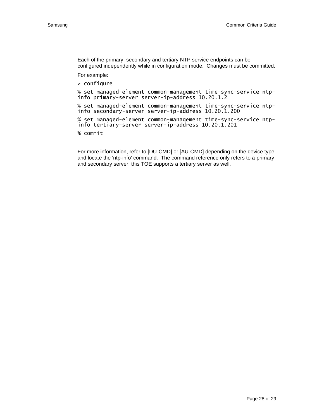Each of the primary, secondary and tertiary NTP service endpoints can be configured independently while in configuration mode. Changes must be committed.

For example:

> configure

% set managed-element common-management time-sync-service ntpinfo primary-server server-ip-address 10.20.1.2

% set managed-element common-management time-sync-service ntpinfo secondary-server server-ip-address 10.20.1.200

% set managed-element common-management time-sync-service ntpinfo tertiary-server server-ip-address 10.20.1.201

% commit

For more information, refer to [DU-CMD] or [AU-CMD] depending on the device type and locate the 'ntp-info' command. The command reference only refers to a primary and secondary server: this TOE supports a tertiary server as well.